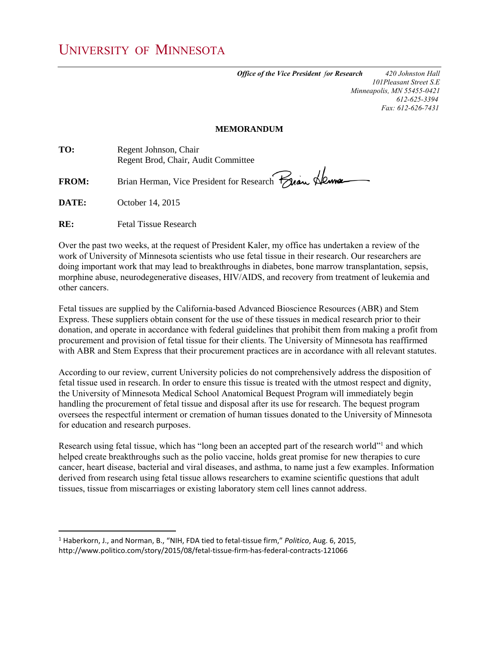*Office of the Vice President for Research 420 Johnston Hall 101Pleasant Street S.E Minneapolis, MN 55455-0421 612-625-3394 Fax: 612-626-7431*

## **MEMORANDUM**

| TV:          | Regent Jonnson, Chair                                 |
|--------------|-------------------------------------------------------|
|              | Regent Brod, Chair, Audit Committee                   |
|              |                                                       |
| <b>FROM:</b> | Brian Herman, Vice President for Research Frian Alema |

**DATE:** October 14, 2015

 $\overline{a}$ 

**RE:** Fetal Tissue Research

**TO:** Regent Johnson, Chair

Over the past two weeks, at the request of President Kaler, my office has undertaken a review of the work of University of Minnesota scientists who use fetal tissue in their research. Our researchers are doing important work that may lead to breakthroughs in diabetes, bone marrow transplantation, sepsis, morphine abuse, neurodegenerative diseases, HIV/AIDS, and recovery from treatment of leukemia and other cancers.

Fetal tissues are supplied by the California-based Advanced Bioscience Resources (ABR) and Stem Express. These suppliers obtain consent for the use of these tissues in medical research prior to their donation, and operate in accordance with federal guidelines that prohibit them from making a profit from procurement and provision of fetal tissue for their clients. The University of Minnesota has reaffirmed with ABR and Stem Express that their procurement practices are in accordance with all relevant statutes.

According to our review, current University policies do not comprehensively address the disposition of fetal tissue used in research. In order to ensure this tissue is treated with the utmost respect and dignity, the University of Minnesota Medical School Anatomical Bequest Program will immediately begin handling the procurement of fetal tissue and disposal after its use for research. The bequest program oversees the respectful interment or cremation of human tissues donated to the University of Minnesota for education and research purposes.

Research using fetal tissue, which has "long been an accepted part of the research world" and which helped create breakthroughs such as the polio vaccine, holds great promise for new therapies to cure cancer, heart disease, bacterial and viral diseases, and asthma, to name just a few examples. Information derived from research using fetal tissue allows researchers to examine scientific questions that adult tissues, tissue from miscarriages or existing laboratory stem cell lines cannot address.

<sup>1</sup> Haberkorn, J., and Norman, B., "NIH, FDA tied to fetal-tissue firm," *Politico*, Aug. 6, 2015, http://www.politico.com/story/2015/08/fetal-tissue-firm-has-federal-contracts-121066